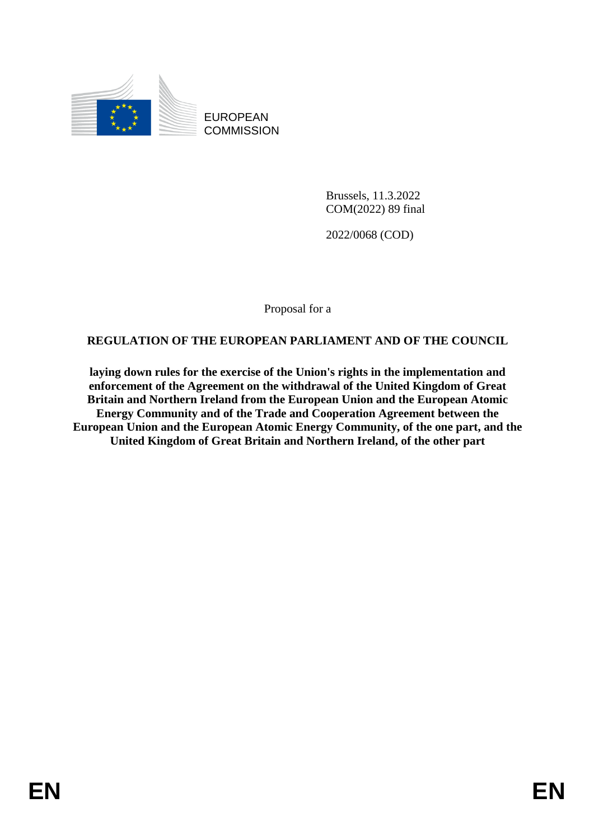

EUROPEAN **COMMISSION** 

> Brussels, 11.3.2022 COM(2022) 89 final

2022/0068 (COD)

Proposal for a

## **REGULATION OF THE EUROPEAN PARLIAMENT AND OF THE COUNCIL**

**laying down rules for the exercise of the Union's rights in the implementation and enforcement of the Agreement on the withdrawal of the United Kingdom of Great Britain and Northern Ireland from the European Union and the European Atomic Energy Community and of the Trade and Cooperation Agreement between the European Union and the European Atomic Energy Community, of the one part, and the United Kingdom of Great Britain and Northern Ireland, of the other part**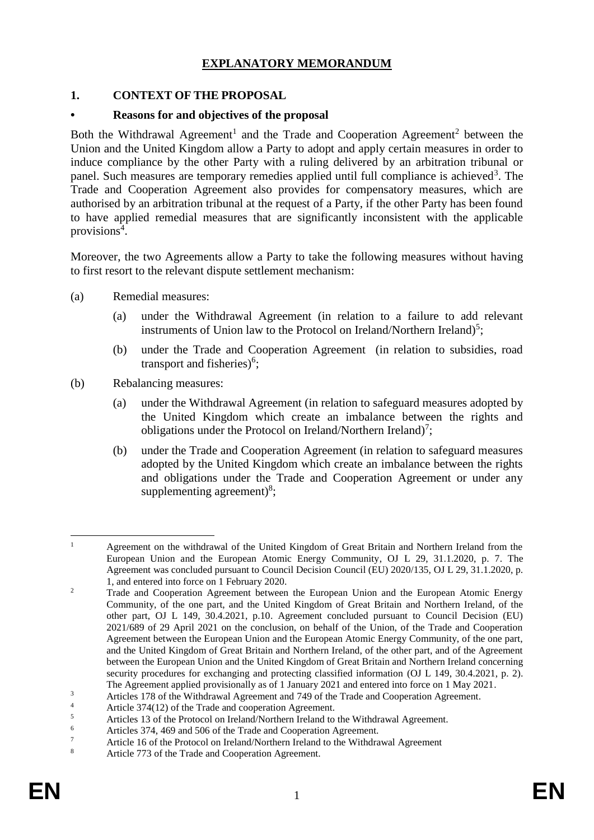## **EXPLANATORY MEMORANDUM**

### **1. CONTEXT OF THE PROPOSAL**

### **• Reasons for and objectives of the proposal**

Both the Withdrawal Agreement<sup>1</sup> and the Trade and Cooperation Agreement<sup>2</sup> between the Union and the United Kingdom allow a Party to adopt and apply certain measures in order to induce compliance by the other Party with a ruling delivered by an arbitration tribunal or panel. Such measures are temporary remedies applied until full compliance is achieved<sup>3</sup>. The Trade and Cooperation Agreement also provides for compensatory measures, which are authorised by an arbitration tribunal at the request of a Party, if the other Party has been found to have applied remedial measures that are significantly inconsistent with the applicable provisions<sup>4</sup>.

Moreover, the two Agreements allow a Party to take the following measures without having to first resort to the relevant dispute settlement mechanism:

- (a) Remedial measures:
	- (a) under the Withdrawal Agreement (in relation to a failure to add relevant instruments of Union law to the Protocol on Ireland/Northern Ireland)<sup>5</sup>;
	- (b) under the Trade and Cooperation Agreement (in relation to subsidies, road transport and fisheries) $6$ ;
- (b) Rebalancing measures:
	- (a) under the Withdrawal Agreement (in relation to safeguard measures adopted by the United Kingdom which create an imbalance between the rights and obligations under the Protocol on Ireland/Northern Ireland)<sup>7</sup>;
	- (b) under the Trade and Cooperation Agreement (in relation to safeguard measures adopted by the United Kingdom which create an imbalance between the rights and obligations under the Trade and Cooperation Agreement or under any supplementing agreement)<sup>8</sup>;

<sup>1</sup> <sup>1</sup> Agreement on the withdrawal of the United Kingdom of Great Britain and Northern Ireland from the European Union and the European Atomic Energy Community, OJ L 29, 31.1.2020, p. 7. The Agreement was concluded pursuant to Council Decision Council (EU) 2020/135, OJ L 29, 31.1.2020, p. 1, and entered into force on 1 February 2020.

<sup>&</sup>lt;sup>2</sup> Trade and Cooperation Agreement between the European Union and the European Atomic Energy Community, of the one part, and the United Kingdom of Great Britain and Northern Ireland, of the other part, OJ L 149, 30.4.2021, p.10. Agreement concluded pursuant to Council Decision (EU) 2021/689 of 29 April 2021 on the conclusion, on behalf of the Union, of the Trade and Cooperation Agreement between the European Union and the European Atomic Energy Community, of the one part, and the United Kingdom of Great Britain and Northern Ireland, of the other part, and of the Agreement between the European Union and the United Kingdom of Great Britain and Northern Ireland concerning security procedures for exchanging and protecting classified information (OJ L 149, 30.4.2021, p. 2). The Agreement applied provisionally as of 1 January 2021 and entered into force on 1 May 2021.

<sup>&</sup>lt;sup>3</sup><br>Articles 178 of the Withdrawal Agreement and 749 of the Trade and Cooperation Agreement.

<sup>4</sup> Article 374(12) of the Trade and cooperation Agreement.

 $\frac{5}{100}$  Articles 13 of the Protocol on Ireland/Northern Ireland to the Withdrawal Agreement.

 $\frac{6}{7}$  Articles 374, 469 and 506 of the Trade and Cooperation Agreement.

<sup>&</sup>lt;sup>7</sup> Article 16 of the Protocol on Ireland/Northern Ireland to the Withdrawal Agreement

Article 773 of the Trade and Cooperation Agreement.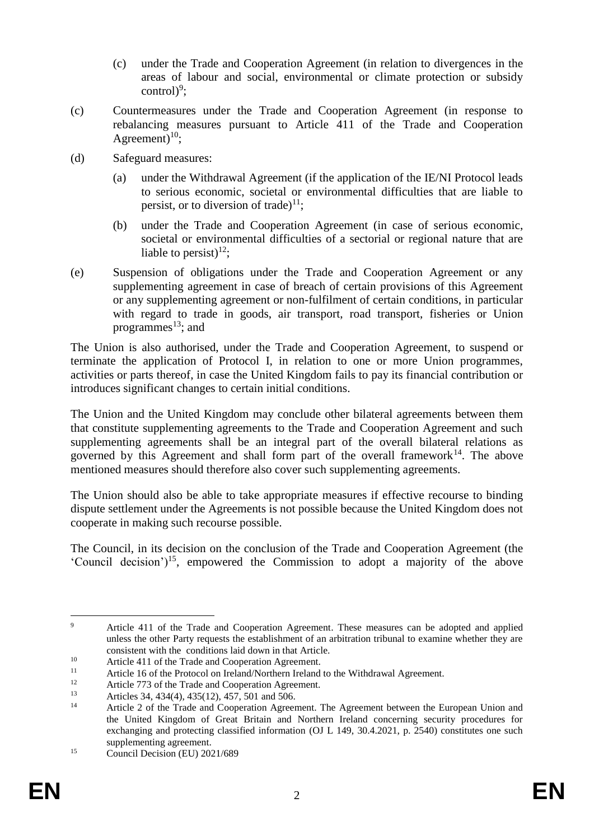- (c) under the Trade and Cooperation Agreement (in relation to divergences in the areas of labour and social, environmental or climate protection or subsidy  $control)^9$ ;
- (c) Countermeasures under the Trade and Cooperation Agreement (in response to rebalancing measures pursuant to Article 411 of the Trade and Cooperation Agreement)<sup>10</sup>;
- (d) Safeguard measures:
	- (a) under the Withdrawal Agreement (if the application of the IE/NI Protocol leads to serious economic, societal or environmental difficulties that are liable to persist, or to diversion of trade)<sup>11</sup>;
	- (b) under the Trade and Cooperation Agreement (in case of serious economic, societal or environmental difficulties of a sectorial or regional nature that are liable to persist)<sup>12</sup>;
- (e) Suspension of obligations under the Trade and Cooperation Agreement or any supplementing agreement in case of breach of certain provisions of this Agreement or any supplementing agreement or non-fulfilment of certain conditions, in particular with regard to trade in goods, air transport, road transport, fisheries or Union programmes $^{13}$ ; and

The Union is also authorised, under the Trade and Cooperation Agreement, to suspend or terminate the application of Protocol I, in relation to one or more Union programmes, activities or parts thereof, in case the United Kingdom fails to pay its financial contribution or introduces significant changes to certain initial conditions.

The Union and the United Kingdom may conclude other bilateral agreements between them that constitute supplementing agreements to the Trade and Cooperation Agreement and such supplementing agreements shall be an integral part of the overall bilateral relations as governed by this Agreement and shall form part of the overall framework $14$ . The above mentioned measures should therefore also cover such supplementing agreements.

The Union should also be able to take appropriate measures if effective recourse to binding dispute settlement under the Agreements is not possible because the United Kingdom does not cooperate in making such recourse possible.

The Council, in its decision on the conclusion of the Trade and Cooperation Agreement (the 'Council decision')<sup>15</sup>, empowered the Commission to adopt a majority of the above

<sup>1</sup> <sup>9</sup> Article 411 of the Trade and Cooperation Agreement. These measures can be adopted and applied unless the other Party requests the establishment of an arbitration tribunal to examine whether they are consistent with the conditions laid down in that Article.

<sup>10</sup> Article 411 of the Trade and Cooperation Agreement.

<sup>&</sup>lt;sup>11</sup> Article 16 of the Protocol on Ireland/Northern Ireland to the Withdrawal Agreement.<br> $\frac{12}{2}$ 

<sup>&</sup>lt;sup>12</sup> Article 773 of the Trade and Cooperation Agreement.<br><sup>13</sup> Articles  $34,434(4),425(12),457,501$  and  $506$ 

<sup>13</sup> Articles 34, 434(4), 435(12), 457, 501 and 506.

<sup>14</sup> Article 2 of the Trade and Cooperation Agreement. The Agreement between the European Union and the United Kingdom of Great Britain and Northern Ireland concerning security procedures for exchanging and protecting classified information (OJ L 149, 30.4.2021, p. 2540) constitutes one such supplementing agreement.

<sup>&</sup>lt;sup>15</sup> Council Decision (EU)  $2021/689$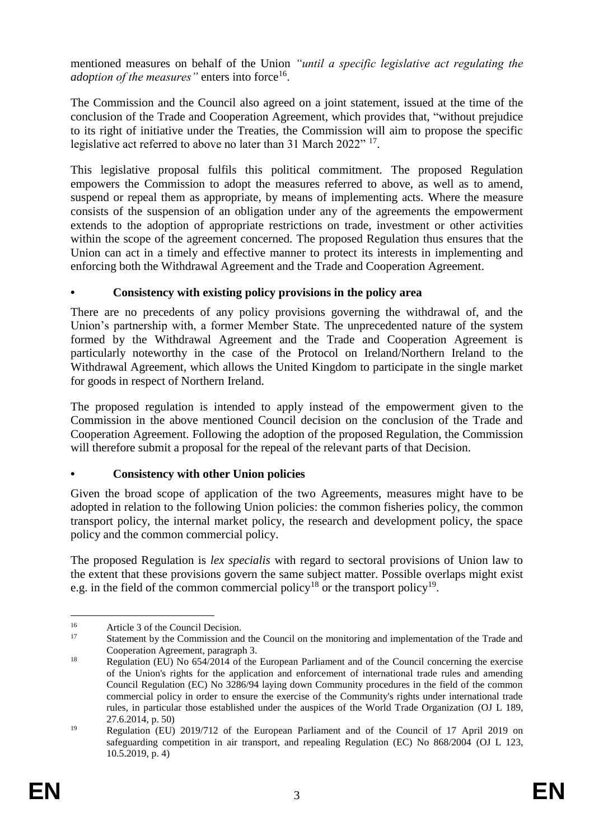mentioned measures on behalf of the Union *"until a specific legislative act regulating the*  adoption of the measures" enters into force<sup>16</sup>.

The Commission and the Council also agreed on a joint statement, issued at the time of the conclusion of the Trade and Cooperation Agreement, which provides that, "without prejudice to its right of initiative under the Treaties, the Commission will aim to propose the specific legislative act referred to above no later than 31 March 2022" 17.

This legislative proposal fulfils this political commitment. The proposed Regulation empowers the Commission to adopt the measures referred to above, as well as to amend, suspend or repeal them as appropriate, by means of implementing acts. Where the measure consists of the suspension of an obligation under any of the agreements the empowerment extends to the adoption of appropriate restrictions on trade, investment or other activities within the scope of the agreement concerned. The proposed Regulation thus ensures that the Union can act in a timely and effective manner to protect its interests in implementing and enforcing both the Withdrawal Agreement and the Trade and Cooperation Agreement.

## **• Consistency with existing policy provisions in the policy area**

There are no precedents of any policy provisions governing the withdrawal of, and the Union's partnership with, a former Member State. The unprecedented nature of the system formed by the Withdrawal Agreement and the Trade and Cooperation Agreement is particularly noteworthy in the case of the Protocol on Ireland/Northern Ireland to the Withdrawal Agreement, which allows the United Kingdom to participate in the single market for goods in respect of Northern Ireland.

The proposed regulation is intended to apply instead of the empowerment given to the Commission in the above mentioned Council decision on the conclusion of the Trade and Cooperation Agreement. Following the adoption of the proposed Regulation, the Commission will therefore submit a proposal for the repeal of the relevant parts of that Decision.

## **• Consistency with other Union policies**

Given the broad scope of application of the two Agreements, measures might have to be adopted in relation to the following Union policies: the common fisheries policy, the common transport policy, the internal market policy, the research and development policy, the space policy and the common commercial policy.

The proposed Regulation is *lex specialis* with regard to sectoral provisions of Union law to the extent that these provisions govern the same subject matter. Possible overlaps might exist e.g. in the field of the common commercial policy<sup>18</sup> or the transport policy<sup>19</sup>.

<sup>1</sup> <sup>16</sup><br>Article 3 of the Council Decision.<br>Statement by the Commission and

Statement by the Commission and the Council on the monitoring and implementation of the Trade and Cooperation Agreement, paragraph 3.

<sup>&</sup>lt;sup>18</sup> Regulation (EU) No 654/2014 of the European Parliament and of the Council concerning the exercise of the Union's rights for the application and enforcement of international trade rules and amending Council Regulation (EC) No 3286/94 laying down Community procedures in the field of the common commercial policy in order to ensure the exercise of the Community's rights under international trade rules, in particular those established under the auspices of the World Trade Organization (OJ L 189, 27.6.2014, p. 50)

<sup>&</sup>lt;sup>19</sup> Regulation (EU) 2019/712 of the European Parliament and of the Council of 17 April 2019 on safeguarding competition in air transport, and repealing Regulation (EC) No 868/2004 (OJ L 123, 10.5.2019, p. 4)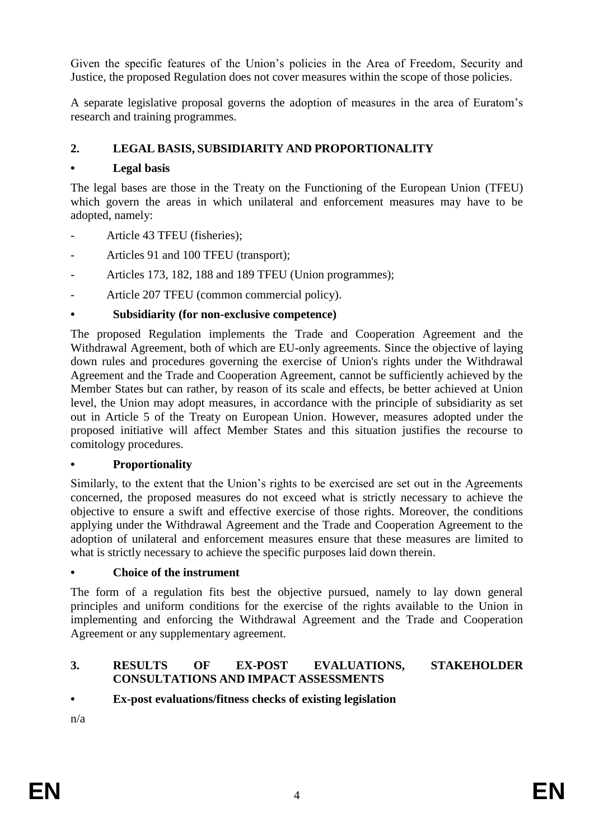Given the specific features of the Union's policies in the Area of Freedom, Security and Justice, the proposed Regulation does not cover measures within the scope of those policies.

A separate legislative proposal governs the adoption of measures in the area of Euratom's research and training programmes.

## **2. LEGAL BASIS, SUBSIDIARITY AND PROPORTIONALITY**

## **• Legal basis**

The legal bases are those in the Treaty on the Functioning of the European Union (TFEU) which govern the areas in which unilateral and enforcement measures may have to be adopted, namely:

- Article 43 TFEU (fisheries);
- Articles 91 and 100 TFEU (transport);
- Articles 173, 182, 188 and 189 TFEU (Union programmes);
- Article 207 TFEU (common commercial policy).

## **• Subsidiarity (for non-exclusive competence)**

The proposed Regulation implements the Trade and Cooperation Agreement and the Withdrawal Agreement, both of which are EU-only agreements. Since the objective of laying down rules and procedures governing the exercise of Union's rights under the Withdrawal Agreement and the Trade and Cooperation Agreement, cannot be sufficiently achieved by the Member States but can rather, by reason of its scale and effects, be better achieved at Union level, the Union may adopt measures, in accordance with the principle of subsidiarity as set out in Article 5 of the Treaty on European Union. However, measures adopted under the proposed initiative will affect Member States and this situation justifies the recourse to comitology procedures.

### **• Proportionality**

Similarly, to the extent that the Union's rights to be exercised are set out in the Agreements concerned, the proposed measures do not exceed what is strictly necessary to achieve the objective to ensure a swift and effective exercise of those rights. Moreover, the conditions applying under the Withdrawal Agreement and the Trade and Cooperation Agreement to the adoption of unilateral and enforcement measures ensure that these measures are limited to what is strictly necessary to achieve the specific purposes laid down therein.

### **• Choice of the instrument**

The form of a regulation fits best the objective pursued, namely to lay down general principles and uniform conditions for the exercise of the rights available to the Union in implementing and enforcing the Withdrawal Agreement and the Trade and Cooperation Agreement or any supplementary agreement.

### **3. RESULTS OF EX-POST EVALUATIONS, STAKEHOLDER CONSULTATIONS AND IMPACT ASSESSMENTS**

## **• Ex-post evaluations/fitness checks of existing legislation**

n/a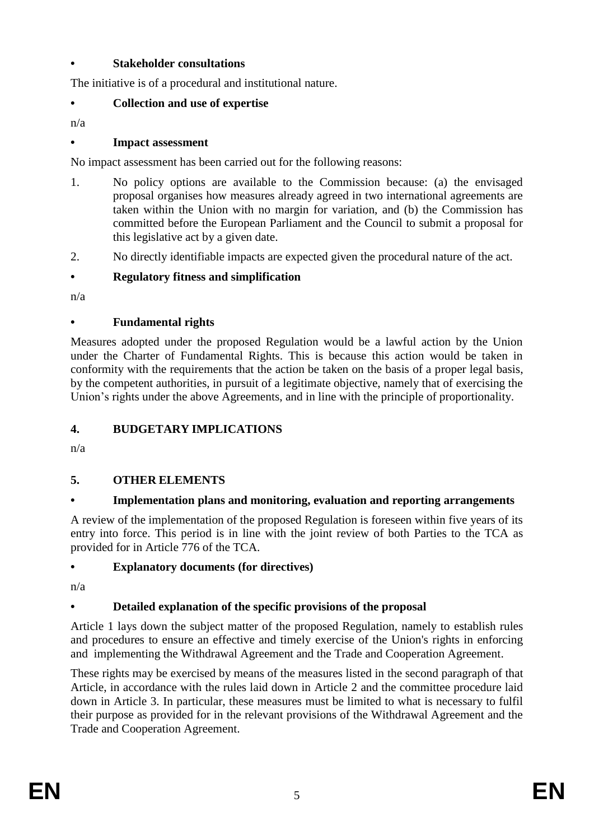## **• Stakeholder consultations**

The initiative is of a procedural and institutional nature.

## **• Collection and use of expertise**

n/a

## **• Impact assessment**

No impact assessment has been carried out for the following reasons:

- 1. No policy options are available to the Commission because: (a) the envisaged proposal organises how measures already agreed in two international agreements are taken within the Union with no margin for variation, and (b) the Commission has committed before the European Parliament and the Council to submit a proposal for this legislative act by a given date.
- 2. No directly identifiable impacts are expected given the procedural nature of the act.

# **• Regulatory fitness and simplification**

n/a

## **• Fundamental rights**

Measures adopted under the proposed Regulation would be a lawful action by the Union under the Charter of Fundamental Rights. This is because this action would be taken in conformity with the requirements that the action be taken on the basis of a proper legal basis, by the competent authorities, in pursuit of a legitimate objective, namely that of exercising the Union's rights under the above Agreements, and in line with the principle of proportionality.

## **4. BUDGETARY IMPLICATIONS**

n/a

# **5. OTHER ELEMENTS**

## **• Implementation plans and monitoring, evaluation and reporting arrangements**

A review of the implementation of the proposed Regulation is foreseen within five years of its entry into force. This period is in line with the joint review of both Parties to the TCA as provided for in Article 776 of the TCA.

## **• Explanatory documents (for directives)**

n/a

# **• Detailed explanation of the specific provisions of the proposal**

Article 1 lays down the subject matter of the proposed Regulation, namely to establish rules and procedures to ensure an effective and timely exercise of the Union's rights in enforcing and implementing the Withdrawal Agreement and the Trade and Cooperation Agreement.

These rights may be exercised by means of the measures listed in the second paragraph of that Article, in accordance with the rules laid down in Article 2 and the committee procedure laid down in Article 3. In particular, these measures must be limited to what is necessary to fulfil their purpose as provided for in the relevant provisions of the Withdrawal Agreement and the Trade and Cooperation Agreement.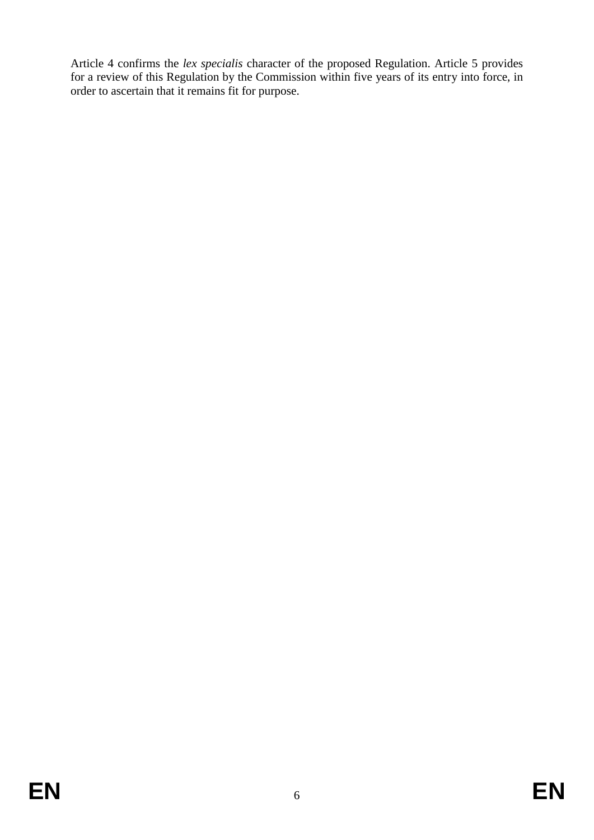Article 4 confirms the *lex specialis* character of the proposed Regulation. Article 5 provides for a review of this Regulation by the Commission within five years of its entry into force, in order to ascertain that it remains fit for purpose.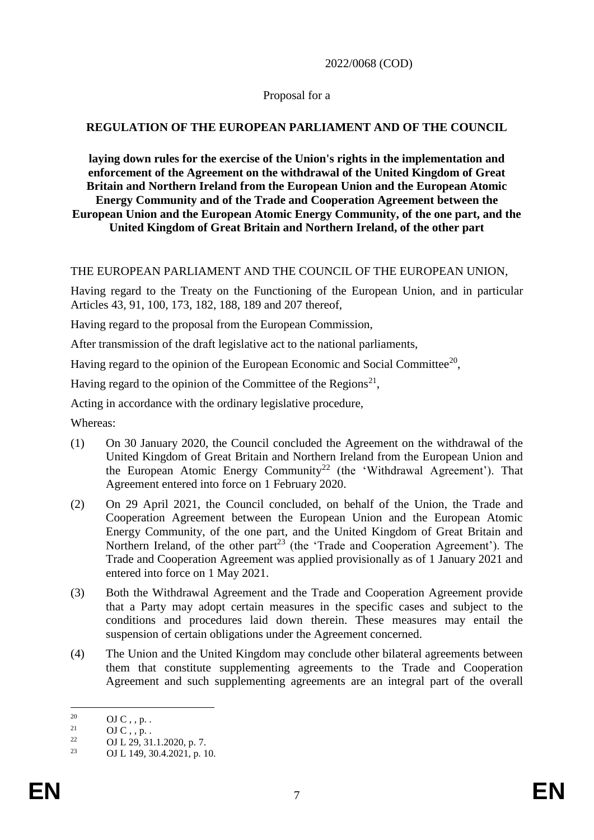2022/0068 (COD)

### Proposal for a

### **REGULATION OF THE EUROPEAN PARLIAMENT AND OF THE COUNCIL**

**laying down rules for the exercise of the Union's rights in the implementation and enforcement of the Agreement on the withdrawal of the United Kingdom of Great Britain and Northern Ireland from the European Union and the European Atomic Energy Community and of the Trade and Cooperation Agreement between the European Union and the European Atomic Energy Community, of the one part, and the United Kingdom of Great Britain and Northern Ireland, of the other part**

### THE EUROPEAN PARLIAMENT AND THE COUNCIL OF THE EUROPEAN UNION,

Having regard to the Treaty on the Functioning of the European Union, and in particular Articles 43, 91, 100, 173, 182, 188, 189 and 207 thereof,

Having regard to the proposal from the European Commission,

After transmission of the draft legislative act to the national parliaments,

Having regard to the opinion of the European Economic and Social Committee<sup>20</sup>,

Having regard to the opinion of the Committee of the Regions<sup>21</sup>,

Acting in accordance with the ordinary legislative procedure,

Whereas:

- (1) On 30 January 2020, the Council concluded the Agreement on the withdrawal of the United Kingdom of Great Britain and Northern Ireland from the European Union and the European Atomic Energy Community<sup>22</sup> (the 'Withdrawal Agreement'). That Agreement entered into force on 1 February 2020.
- (2) On 29 April 2021, the Council concluded, on behalf of the Union, the Trade and Cooperation Agreement between the European Union and the European Atomic Energy Community, of the one part, and the United Kingdom of Great Britain and Northern Ireland, of the other part<sup>23</sup> (the 'Trade and Cooperation Agreement'). The Trade and Cooperation Agreement was applied provisionally as of 1 January 2021 and entered into force on 1 May 2021.
- (3) Both the Withdrawal Agreement and the Trade and Cooperation Agreement provide that a Party may adopt certain measures in the specific cases and subject to the conditions and procedures laid down therein. These measures may entail the suspension of certain obligations under the Agreement concerned.
- (4) The Union and the United Kingdom may conclude other bilateral agreements between them that constitute supplementing agreements to the Trade and Cooperation Agreement and such supplementing agreements are an integral part of the overall

 $20^{\circ}$  $^{20}$  OJ C, , p. .<br>
<sup>21</sup> OJ C, p.

 $^{21}$  OJ C, , p. .

<sup>&</sup>lt;sup>22</sup> OJ L 29, 31.1.2020, p. 7.

<sup>23</sup> OJ L 149, 30.4.2021, p. 10.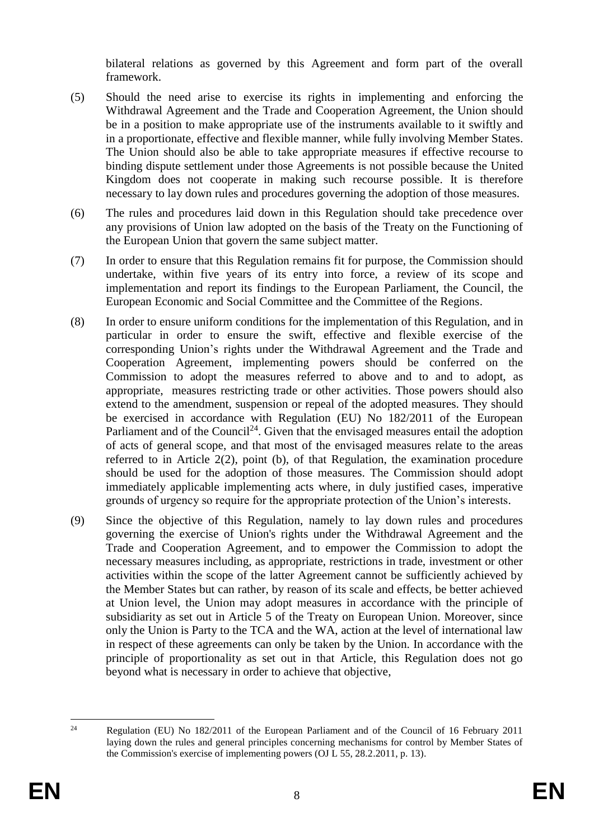bilateral relations as governed by this Agreement and form part of the overall framework.

- (5) Should the need arise to exercise its rights in implementing and enforcing the Withdrawal Agreement and the Trade and Cooperation Agreement, the Union should be in a position to make appropriate use of the instruments available to it swiftly and in a proportionate, effective and flexible manner, while fully involving Member States. The Union should also be able to take appropriate measures if effective recourse to binding dispute settlement under those Agreements is not possible because the United Kingdom does not cooperate in making such recourse possible. It is therefore necessary to lay down rules and procedures governing the adoption of those measures.
- (6) The rules and procedures laid down in this Regulation should take precedence over any provisions of Union law adopted on the basis of the Treaty on the Functioning of the European Union that govern the same subject matter.
- (7) In order to ensure that this Regulation remains fit for purpose, the Commission should undertake, within five years of its entry into force, a review of its scope and implementation and report its findings to the European Parliament, the Council, the European Economic and Social Committee and the Committee of the Regions.
- (8) In order to ensure uniform conditions for the implementation of this Regulation, and in particular in order to ensure the swift, effective and flexible exercise of the corresponding Union's rights under the Withdrawal Agreement and the Trade and Cooperation Agreement, implementing powers should be conferred on the Commission to adopt the measures referred to above and to and to adopt, as appropriate, measures restricting trade or other activities. Those powers should also extend to the amendment, suspension or repeal of the adopted measures. They should be exercised in accordance with Regulation (EU) No 182/2011 of the European Parliament and of the Council<sup>24</sup>. Given that the envisaged measures entail the adoption of acts of general scope, and that most of the envisaged measures relate to the areas referred to in Article 2(2), point (b), of that Regulation, the examination procedure should be used for the adoption of those measures. The Commission should adopt immediately applicable implementing acts where, in duly justified cases, imperative grounds of urgency so require for the appropriate protection of the Union's interests.
- (9) Since the objective of this Regulation, namely to lay down rules and procedures governing the exercise of Union's rights under the Withdrawal Agreement and the Trade and Cooperation Agreement, and to empower the Commission to adopt the necessary measures including, as appropriate, restrictions in trade, investment or other activities within the scope of the latter Agreement cannot be sufficiently achieved by the Member States but can rather, by reason of its scale and effects, be better achieved at Union level, the Union may adopt measures in accordance with the principle of subsidiarity as set out in Article 5 of the Treaty on European Union. Moreover, since only the Union is Party to the TCA and the WA, action at the level of international law in respect of these agreements can only be taken by the Union. In accordance with the principle of proportionality as set out in that Article, this Regulation does not go beyond what is necessary in order to achieve that objective,

 $24$ <sup>24</sup> Regulation (EU) No 182/2011 of the European Parliament and of the Council of 16 February 2011 laying down the rules and general principles concerning mechanisms for control by Member States of the Commission's exercise of implementing powers (OJ L 55, 28.2.2011, p. 13).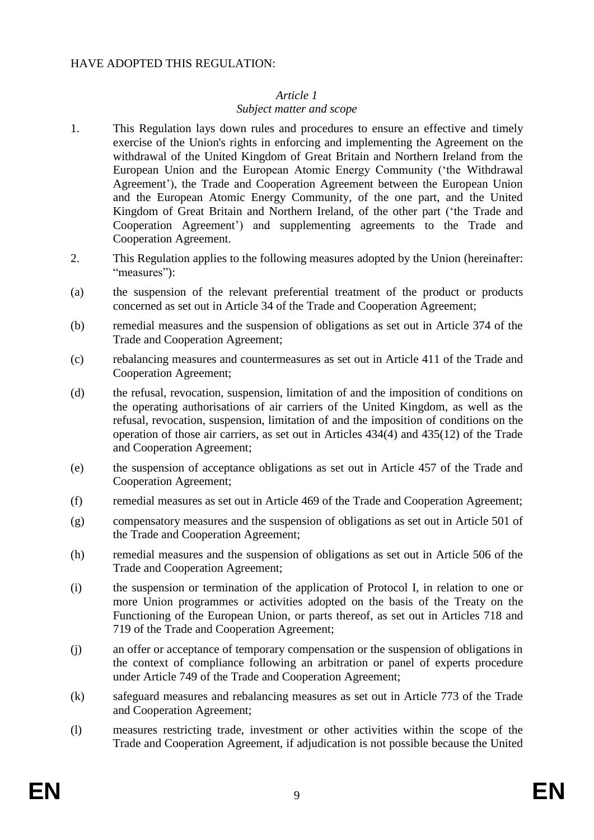### HAVE ADOPTED THIS REGULATION:

#### *Article 1*

### *Subject matter and scope*

- 1. This Regulation lays down rules and procedures to ensure an effective and timely exercise of the Union's rights in enforcing and implementing the Agreement on the withdrawal of the United Kingdom of Great Britain and Northern Ireland from the European Union and the European Atomic Energy Community ('the Withdrawal Agreement'), the Trade and Cooperation Agreement between the European Union and the European Atomic Energy Community, of the one part, and the United Kingdom of Great Britain and Northern Ireland, of the other part ('the Trade and Cooperation Agreement') and supplementing agreements to the Trade and Cooperation Agreement.
- 2. This Regulation applies to the following measures adopted by the Union (hereinafter: "measures"):
- (a) the suspension of the relevant preferential treatment of the product or products concerned as set out in Article 34 of the Trade and Cooperation Agreement;
- (b) remedial measures and the suspension of obligations as set out in Article 374 of the Trade and Cooperation Agreement;
- (c) rebalancing measures and countermeasures as set out in Article 411 of the Trade and Cooperation Agreement;
- (d) the refusal, revocation, suspension, limitation of and the imposition of conditions on the operating authorisations of air carriers of the United Kingdom, as well as the refusal, revocation, suspension, limitation of and the imposition of conditions on the operation of those air carriers, as set out in Articles 434(4) and 435(12) of the Trade and Cooperation Agreement;
- (e) the suspension of acceptance obligations as set out in Article 457 of the Trade and Cooperation Agreement;
- (f) remedial measures as set out in Article 469 of the Trade and Cooperation Agreement;
- (g) compensatory measures and the suspension of obligations as set out in Article 501 of the Trade and Cooperation Agreement;
- (h) remedial measures and the suspension of obligations as set out in Article 506 of the Trade and Cooperation Agreement;
- (i) the suspension or termination of the application of Protocol I, in relation to one or more Union programmes or activities adopted on the basis of the Treaty on the Functioning of the European Union, or parts thereof, as set out in Articles 718 and 719 of the Trade and Cooperation Agreement;
- (j) an offer or acceptance of temporary compensation or the suspension of obligations in the context of compliance following an arbitration or panel of experts procedure under Article 749 of the Trade and Cooperation Agreement;
- (k) safeguard measures and rebalancing measures as set out in Article 773 of the Trade and Cooperation Agreement;
- (l) measures restricting trade, investment or other activities within the scope of the Trade and Cooperation Agreement, if adjudication is not possible because the United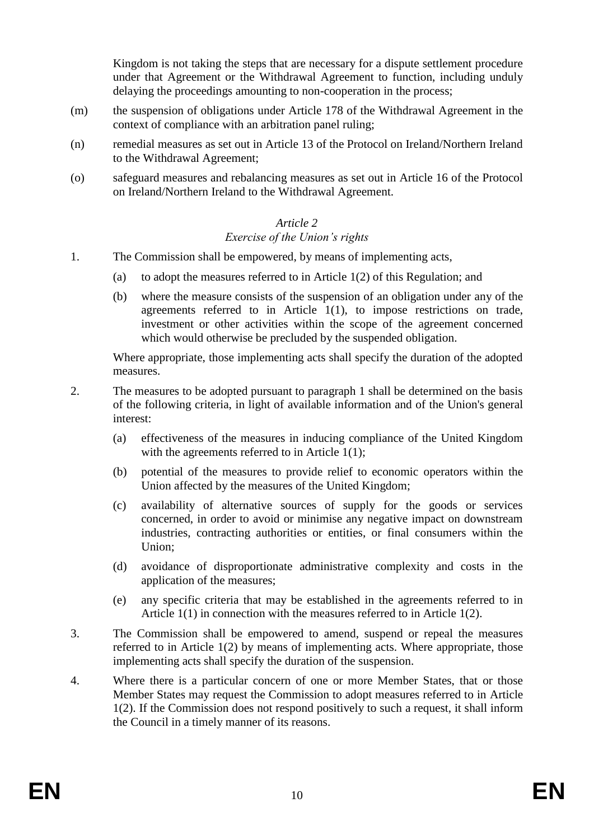Kingdom is not taking the steps that are necessary for a dispute settlement procedure under that Agreement or the Withdrawal Agreement to function, including unduly delaying the proceedings amounting to non-cooperation in the process;

- (m) the suspension of obligations under Article 178 of the Withdrawal Agreement in the context of compliance with an arbitration panel ruling;
- (n) remedial measures as set out in Article 13 of the Protocol on Ireland/Northern Ireland to the Withdrawal Agreement;
- (o) safeguard measures and rebalancing measures as set out in Article 16 of the Protocol on Ireland/Northern Ireland to the Withdrawal Agreement.

## *Article 2*

### *Exercise of the Union's rights*

- 1. The Commission shall be empowered, by means of implementing acts,
	- (a) to adopt the measures referred to in Article 1(2) of this Regulation; and
	- (b) where the measure consists of the suspension of an obligation under any of the agreements referred to in Article 1(1), to impose restrictions on trade, investment or other activities within the scope of the agreement concerned which would otherwise be precluded by the suspended obligation.

Where appropriate, those implementing acts shall specify the duration of the adopted measures.

- 2. The measures to be adopted pursuant to paragraph 1 shall be determined on the basis of the following criteria, in light of available information and of the Union's general interest:
	- (a) effectiveness of the measures in inducing compliance of the United Kingdom with the agreements referred to in Article 1(1);
	- (b) potential of the measures to provide relief to economic operators within the Union affected by the measures of the United Kingdom;
	- (c) availability of alternative sources of supply for the goods or services concerned, in order to avoid or minimise any negative impact on downstream industries, contracting authorities or entities, or final consumers within the Union;
	- (d) avoidance of disproportionate administrative complexity and costs in the application of the measures;
	- (e) any specific criteria that may be established in the agreements referred to in Article 1(1) in connection with the measures referred to in Article 1(2).
- 3. The Commission shall be empowered to amend, suspend or repeal the measures referred to in Article 1(2) by means of implementing acts. Where appropriate, those implementing acts shall specify the duration of the suspension.
- 4. Where there is a particular concern of one or more Member States, that or those Member States may request the Commission to adopt measures referred to in Article 1(2). If the Commission does not respond positively to such a request, it shall inform the Council in a timely manner of its reasons.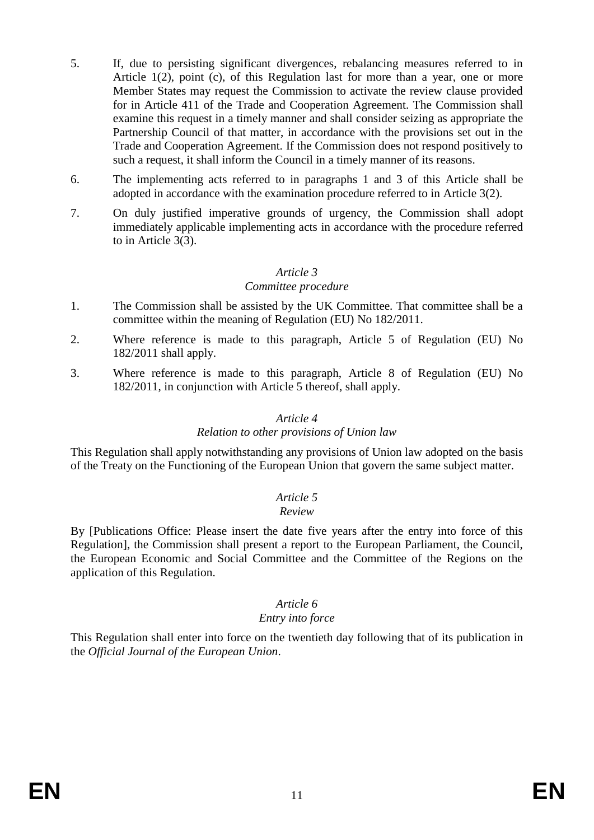- 5. If, due to persisting significant divergences, rebalancing measures referred to in Article 1(2), point (c), of this Regulation last for more than a year, one or more Member States may request the Commission to activate the review clause provided for in Article 411 of the Trade and Cooperation Agreement. The Commission shall examine this request in a timely manner and shall consider seizing as appropriate the Partnership Council of that matter, in accordance with the provisions set out in the Trade and Cooperation Agreement. If the Commission does not respond positively to such a request, it shall inform the Council in a timely manner of its reasons.
- 6. The implementing acts referred to in paragraphs 1 and 3 of this Article shall be adopted in accordance with the examination procedure referred to in Article 3(2).
- 7. On duly justified imperative grounds of urgency, the Commission shall adopt immediately applicable implementing acts in accordance with the procedure referred to in Article 3(3).

#### *Article 3*

#### *Committee procedure*

- 1. The Commission shall be assisted by the UK Committee. That committee shall be a committee within the meaning of Regulation (EU) No 182/2011.
- 2. Where reference is made to this paragraph, Article 5 of Regulation (EU) No 182/2011 shall apply.
- 3. Where reference is made to this paragraph, Article 8 of Regulation (EU) No 182/2011, in conjunction with Article 5 thereof, shall apply.

#### *Article 4*

#### *Relation to other provisions of Union law*

This Regulation shall apply notwithstanding any provisions of Union law adopted on the basis of the Treaty on the Functioning of the European Union that govern the same subject matter.

### *Article 5*

#### *Review*

By [Publications Office: Please insert the date five years after the entry into force of this Regulation], the Commission shall present a report to the European Parliament, the Council, the European Economic and Social Committee and the Committee of the Regions on the application of this Regulation.

### *Article 6*

### *Entry into force*

This Regulation shall enter into force on the twentieth day following that of its publication in the *Official Journal of the European Union*.